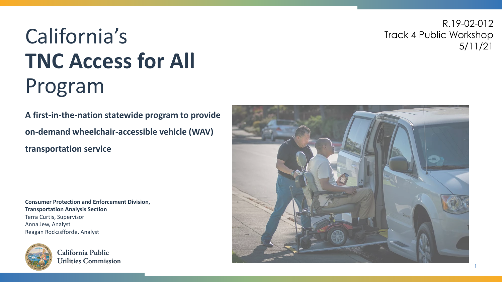#### R.19-02-012 Track 4 Public Workshop 5/11/21

# California's **TNC Access for All**  Program

**A first-in-the-nation statewide program to provide on-demand wheelchair-accessible vehicle (WAV) transportation service**

**Consumer Protection and Enforcement Division, Transportation Analysis Section** Terra Curtis, Supervisor Anna Jew, Analyst Reagan Rockzsfforde, Analyst



California Public **Utilities Commission** 

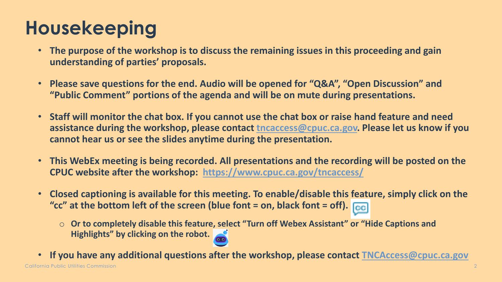### **Housekeeping**

- **The purpose of the workshop is to discuss the remaining issues in this proceeding and gain understanding of parties' proposals.**
- **Please save questions for the end. Audio will be opened for "Q&A", "Open Discussion" and "Public Comment" portions of the agenda and will be on mute during presentations.**
- **Staff will monitor the chat box. If you cannot use the chat box or raise hand feature and need assistance during the workshop, please contact [tncaccess@cpuc.ca.gov.](mailto:tncaccess@cpuc.ca.gov) Please let us know if you cannot hear us or see the slides anytime during the presentation.**
- **This WebEx meeting is being recorded. All presentations and the recording will be posted on the CPUC website after the workshop: <https://www.cpuc.ca.gov/tncaccess/>**
- **Closed captioning is available for this meeting. To enable/disable this feature, simply click on the "cc" at the bottom left of the screen (blue font = on, black font = off).**
	- Or to completely disable this feature, select "Turn off Webex Assistant" or "Hide Captions and **Highlights" by clicking on the robot.**
- California Public Utilities Commission • **If you have any additional questions after the workshop, please contact [TNCAccess@cpuc.ca.gov](mailto:TNCAccess@cpuc.ca.gov)**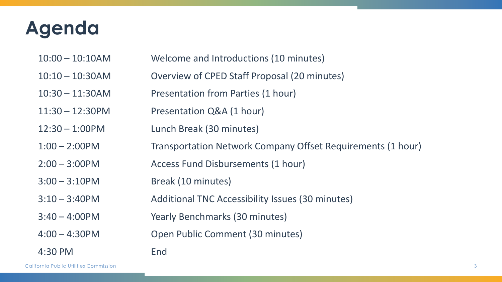### **Agenda**

- 10:00 10:10AM Welcome and Introductions (10 minutes)
- 10:10 10:30AM Overview of CPED Staff Proposal (20 minutes)
- 10:30 11:30AM Presentation from Parties (1 hour)
- 11:30 12:30PM Presentation Q&A (1 hour)
- 12:30 1:00PM Lunch Break (30 minutes)
- 1:00 2:00PM Transportation Network Company Offset Requirements (1 hour)
- 2:00 3:00PM Access Fund Disbursements (1 hour)
- 3:00 3:10PM Break (10 minutes)
- 3:10 3:40PM Additional TNC Accessibility Issues (30 minutes)
- 3:40 4:00PM Yearly Benchmarks (30 minutes)
- 4:00 4:30PM Open Public Comment (30 minutes)
- 4:30 PM End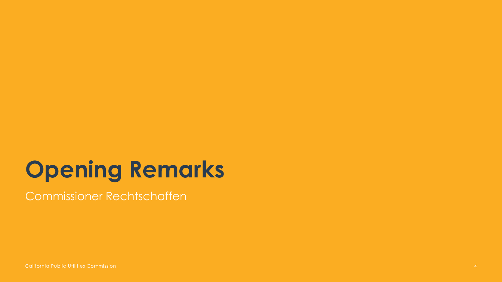# **Opening Remarks**

Commissioner Rechtschaffen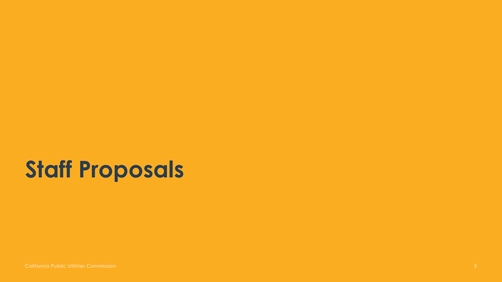# **Staff Proposals**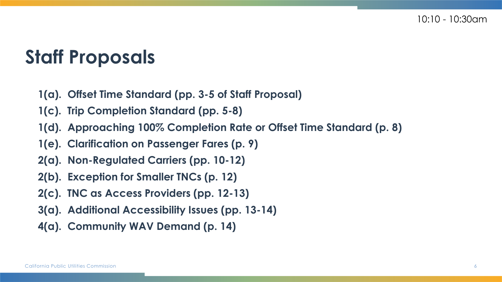### **Staff Proposals**

- **1(a). Offset Time Standard (pp. 3-5 of Staff Proposal)**
- **1(c). Trip Completion Standard (pp. 5-8)**
- **1(d). Approaching 100% Completion Rate or Offset Time Standard (p. 8)**
- **1(e). Clarification on Passenger Fares (p. 9)**
- **2(a). Non-Regulated Carriers (pp. 10-12)**
- **2(b). Exception for Smaller TNCs (p. 12)**
- **2(c). TNC as Access Providers (pp. 12-13)**
- **3(a). Additional Accessibility Issues (pp. 13-14)**
- **4(a). Community WAV Demand (p. 14)**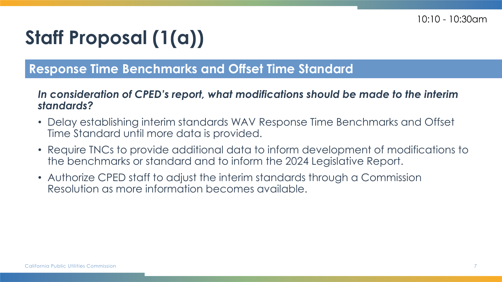## **Staff Proposal (1(a))**

#### **Response Time Benchmarks and Offset Time Standard**

#### *In consideration of CPED's report, what modifications should be made to the interim standards?*

- Delay establishing interim standards WAV Response Time Benchmarks and Offset Time Standard until more data is provided.
- Require TNCs to provide additional data to inform development of modifications to the benchmarks or standard and to inform the 2024 Legislative Report.
- Authorize CPED staff to adjust the interim standards through a Commission Resolution as more information becomes available.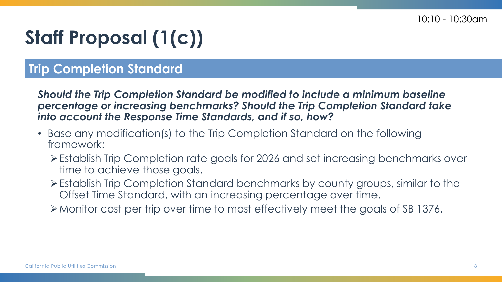## **Staff Proposal (1(c))**

#### **Trip Completion Standard**

*Should the Trip Completion Standard be modified to include a minimum baseline percentage or increasing benchmarks? Should the Trip Completion Standard take into account the Response Time Standards, and if so, how?*

- Base any modification(s) to the Trip Completion Standard on the following framework:
	- Establish Trip Completion rate goals for 2026 and set increasing benchmarks over time to achieve those goals.
	- Establish Trip Completion Standard benchmarks by county groups, similar to the Offset Time Standard, with an increasing percentage over time.
	- Monitor cost per trip over time to most effectively meet the goals of SB 1376.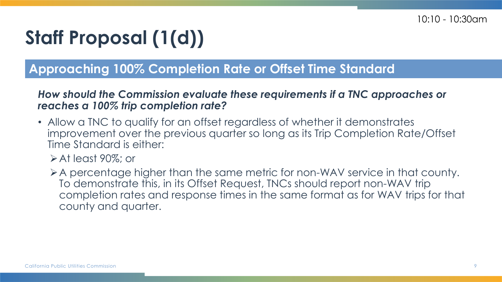## **Staff Proposal (1(d))**

#### **Approaching 100% Completion Rate or Offset Time Standard**

#### *How should the Commission evaluate these requirements if a TNC approaches or reaches a 100% trip completion rate?*

- Allow a TNC to qualify for an offset regardless of whether it demonstrates improvement over the previous quarter so long as its Trip Completion Rate/Offset Time Standard is either:
	- $\triangleright$  At least 90%; or
	- A percentage higher than the same metric for non-WAV service in that county. To demonstrate this, in its Offset Request, TNCs should report non-WAV trip completion rates and response times in the same format as for WAV trips for that county and quarter.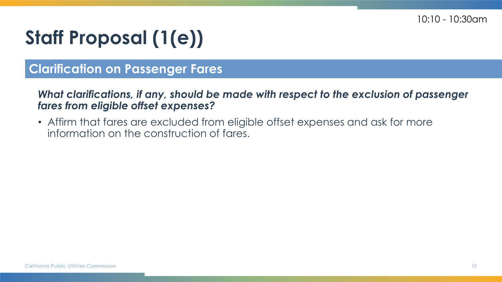## **Staff Proposal (1(e))**

#### **Clarification on Passenger Fares**

*What clarifications, if any, should be made with respect to the exclusion of passenger fares from eligible offset expenses?* 

• Affirm that fares are excluded from eligible offset expenses and ask for more information on the construction of fares.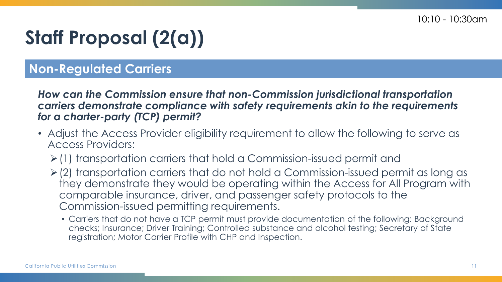## **Staff Proposal (2(a))**

#### **Non-Regulated Carriers**

*How can the Commission ensure that non-Commission jurisdictional transportation carriers demonstrate compliance with safety requirements akin to the requirements for a charter-party (TCP) permit?*

- Adjust the Access Provider eligibility requirement to allow the following to serve as Access Providers:
	- $\geq$  (1) transportation carriers that hold a Commission-issued permit and
	- $\geq$  (2) transportation carriers that do not hold a Commission-issued permit as long as they demonstrate they would be operating within the Access for All Program with comparable insurance, driver, and passenger safety protocols to the Commission-issued permitting requirements.
		- Carriers that do not have a TCP permit must provide documentation of the following: Background checks; Insurance; Driver Training; Controlled substance and alcohol testing; Secretary of State registration; Motor Carrier Profile with CHP and Inspection.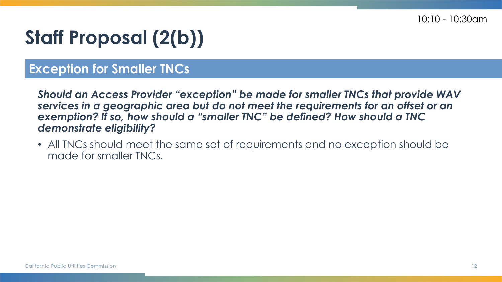## **Staff Proposal (2(b))**

#### **Exception for Smaller TNCs**

*Should an Access Provider "exception" be made for smaller TNCs that provide WAV services in a geographic area but do not meet the requirements for an offset or an exemption? If so, how should a "smaller TNC" be defined? How should a TNC demonstrate eligibility?*

• All TNCs should meet the same set of requirements and no exception should be made for smaller TNCs.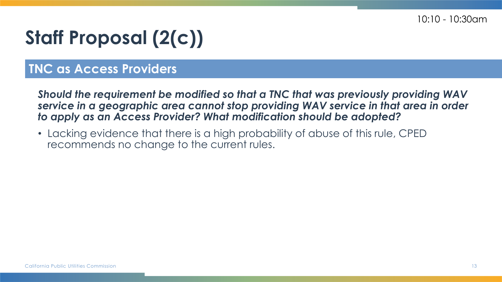## **Staff Proposal (2(c))**

#### **TNC as Access Providers**

*Should the requirement be modified so that a TNC that was previously providing WAV service in a geographic area cannot stop providing WAV service in that area in order to apply as an Access Provider? What modification should be adopted?*

• Lacking evidence that there is a high probability of abuse of this rule, CPED recommends no change to the current rules.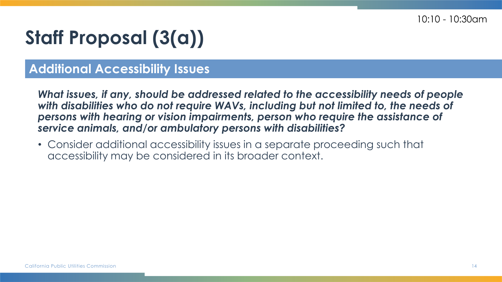## **Staff Proposal (3(a))**

#### **Additional Accessibility Issues**

*What issues, if any, should be addressed related to the accessibility needs of people*  with disabilities who do not require WAVs, including but not limited to, the needs of *persons with hearing or vision impairments, person who require the assistance of service animals, and/or ambulatory persons with disabilities?*

• Consider additional accessibility issues in a separate proceeding such that accessibility may be considered in its broader context.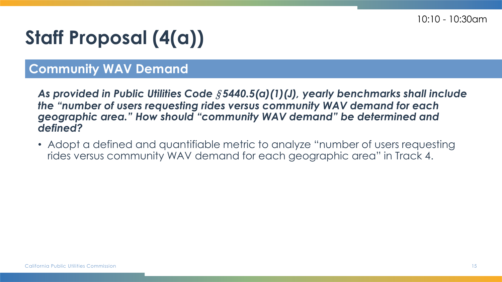## **Staff Proposal (4(a))**

#### **Community WAV Demand**

*As provided in Public Utilities Code* § *5440.5(a)(1)(J), yearly benchmarks shall include the "number of users requesting rides versus community WAV demand for each geographic area." How should "community WAV demand" be determined and defined?*

• Adopt a defined and quantifiable metric to analyze "number of users requesting rides versus community WAV demand for each geographic area" in Track 4.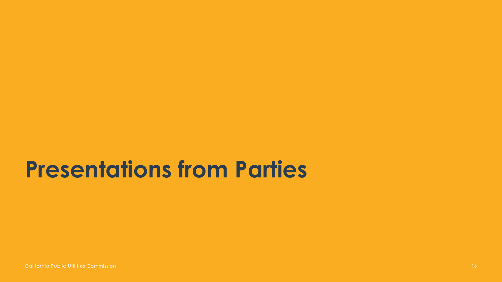## **Presentations from Parties**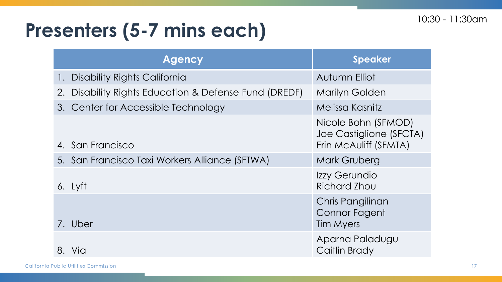### **Presenters (5-7 mins each)**

|         | <b>Agency</b>                                         | <b>Speaker</b>                                                          |
|---------|-------------------------------------------------------|-------------------------------------------------------------------------|
| $\cdot$ | Disability Rights California                          | Autumn Elliot                                                           |
|         | 2. Disability Rights Education & Defense Fund (DREDF) | <b>Marilyn Golden</b>                                                   |
|         | 3. Center for Accessible Technology                   | Melissa Kasnitz                                                         |
|         | 4. San Francisco                                      | Nicole Bohn (SFMOD)<br>Joe Castiglione (SFCTA)<br>Erin McAuliff (SFMTA) |
|         | 5. San Francisco Taxi Workers Alliance (SFTWA)        | <b>Mark Gruberg</b>                                                     |
|         | 6. Lyft                                               | Izzy Gerundio<br>Richard Zhou                                           |
|         | 7. Uber                                               | Chris Pangilinan<br><b>Connor Fagent</b><br>Tim Myers                   |
| 8.      | Via                                                   | Aparna Paladugu<br>Caitlin Brady                                        |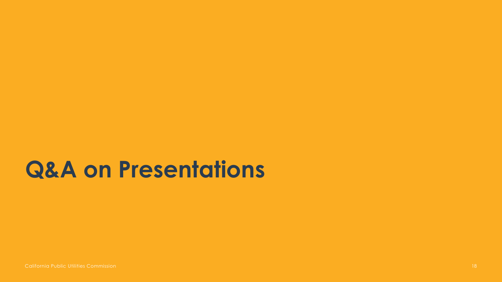## **Q&A on Presentations**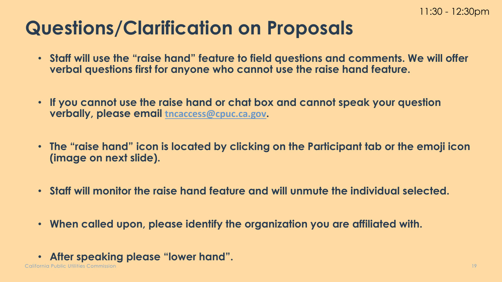### **Questions/Clarification on Proposals**

- **Staff will use the "raise hand" feature to field questions and comments. We will offer verbal questions first for anyone who cannot use the raise hand feature.**
- **If you cannot use the raise hand or chat box and cannot speak your question verbally, please email [tncaccess@cpuc.ca.gov](mailto:tncaccess@cpuc.ca.gov).**
- **The "raise hand" icon is located by clicking on the Participant tab or the emoji icon (image on next slide).**
- **Staff will monitor the raise hand feature and will unmute the individual selected.**
- **When called upon, please identify the organization you are affiliated with.**
- **After speaking please "lower hand".**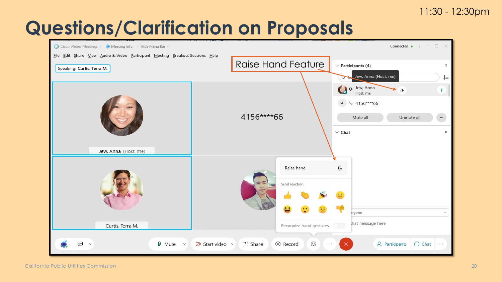#### 11:30 - 12:30pm

### **Questions/Clarification on Proposals**

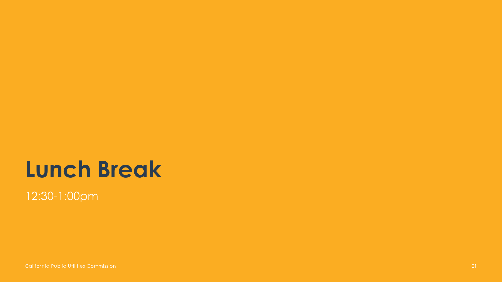# **Lunch Break**

12:30-1:00pm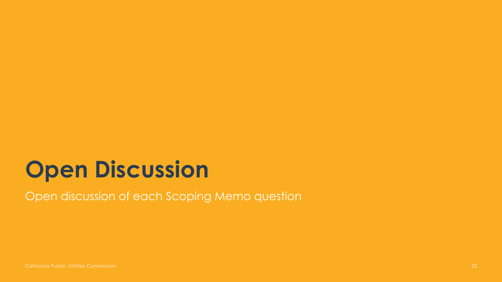Open discussion of each Scoping Memo question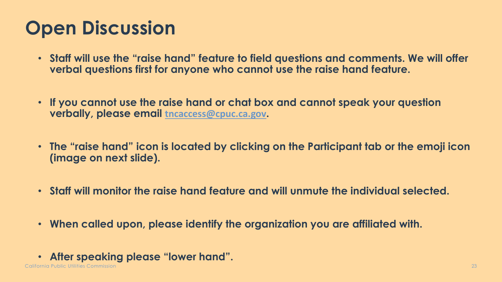- **Staff will use the "raise hand" feature to field questions and comments. We will offer verbal questions first for anyone who cannot use the raise hand feature.**
- **If you cannot use the raise hand or chat box and cannot speak your question verbally, please email [tncaccess@cpuc.ca.gov](mailto:tncaccess@cpuc.ca.gov).**
- **The "raise hand" icon is located by clicking on the Participant tab or the emoji icon (image on next slide).**
- **Staff will monitor the raise hand feature and will unmute the individual selected.**
- **When called upon, please identify the organization you are affiliated with.**
- **After speaking please "lower hand".**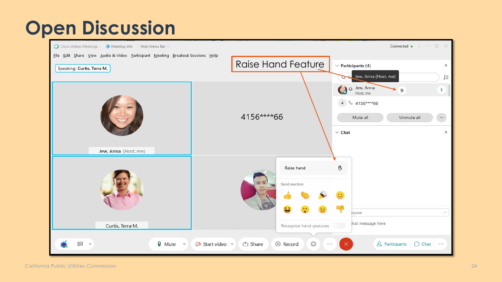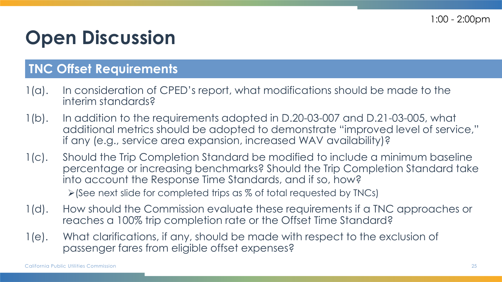#### **TNC Offset Requirements**

- 1(a). In consideration of CPED's report, what modifications should be made to the interim standards?
- 1(b). In addition to the requirements adopted in D.20-03-007 and D.21-03-005, what additional metrics should be adopted to demonstrate "improved level of service," if any (e.g., service area expansion, increased WAV availability)?
- 1(c). Should the Trip Completion Standard be modified to include a minimum baseline percentage or increasing benchmarks? Should the Trip Completion Standard take into account the Response Time Standards, and if so, how?  $\triangleright$  (See next slide for completed trips as % of total requested by TNCs)
- 1(d). How should the Commission evaluate these requirements if a TNC approaches or reaches a 100% trip completion rate or the Offset Time Standard?
- 1(e). What clarifications, if any, should be made with respect to the exclusion of passenger fares from eligible offset expenses?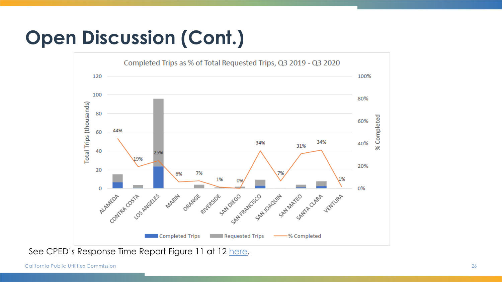## **Open Discussion (Cont.)**



See CPED's Response Time Report Figure 11 at 12 [here](https://docs.cpuc.ca.gov/SearchRes.aspx?docformat=ALL&docid=374635889).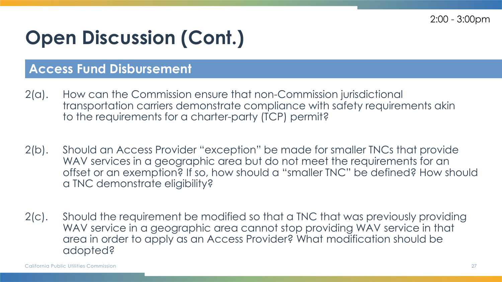2:00 - 3:00pm

### **Open Discussion (Cont.)**

#### **Access Fund Disbursement**

- 2(a). How can the Commission ensure that non-Commission jurisdictional transportation carriers demonstrate compliance with safety requirements akin to the requirements for a charter-party (TCP) permit?
- 2(b). Should an Access Provider "exception" be made for smaller TNCs that provide WAV services in a geographic area but do not meet the requirements for an offset or an exemption? If so, how should a "smaller TNC" be defined? How should a TNC demonstrate eligibility?
- 2(c). Should the requirement be modified so that a TNC that was previously providing WAV service in a geographic area cannot stop providing WAV service in that area in order to apply as an Access Provider? What modification should be adopted?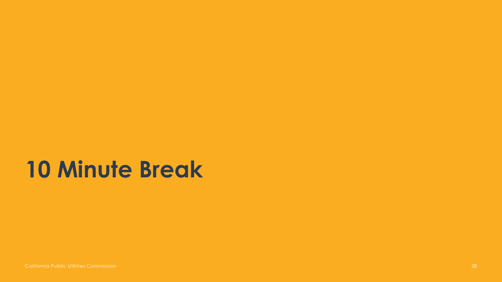## **10 Minute Break**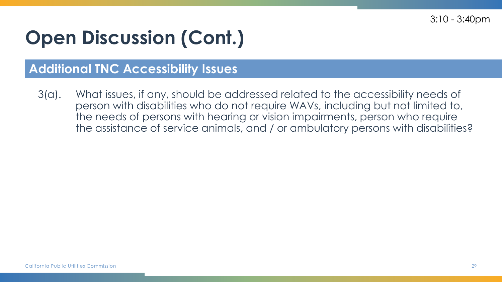3:10 - 3:40pm

## **Open Discussion (Cont.)**

#### **Additional TNC Accessibility Issues**

3(a). What issues, if any, should be addressed related to the accessibility needs of person with disabilities who do not require WAVs, including but not limited to, the needs of persons with hearing or vision impairments, person who require the assistance of service animals, and / or ambulatory persons with disabilities?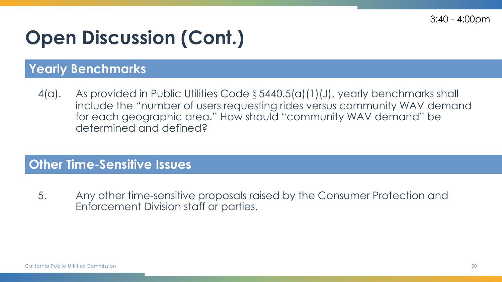3:40 - 4:00pm

### **Open Discussion (Cont.)**

#### **Yearly Benchmarks**

4(a). As provided in Public Utilities Code § 5440.5(a)(1)(J), yearly benchmarks shall include the "number of users requesting rides versus community WAV demand for each geographic area." How should "community WAV demand" be determined and defined?

#### **Other Time-Sensitive Issues**

5. Any other time-sensitive proposals raised by the Consumer Protection and Enforcement Division staff or parties.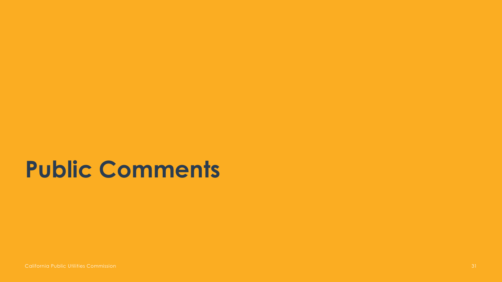# **Public Comments**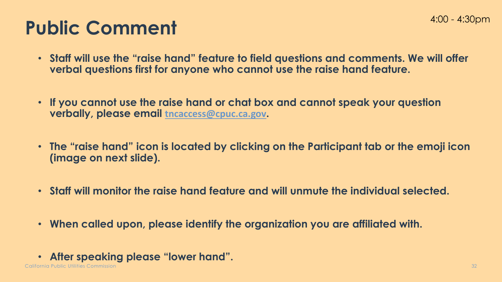### **Public Comment**

- **Staff will use the "raise hand" feature to field questions and comments. We will offer verbal questions first for anyone who cannot use the raise hand feature.**
- **If you cannot use the raise hand or chat box and cannot speak your question verbally, please email [tncaccess@cpuc.ca.gov](mailto:tncaccess@cpuc.ca.gov).**
- **The "raise hand" icon is located by clicking on the Participant tab or the emoji icon (image on next slide).**
- **Staff will monitor the raise hand feature and will unmute the individual selected.**
- **When called upon, please identify the organization you are affiliated with.**
- **After speaking please "lower hand".**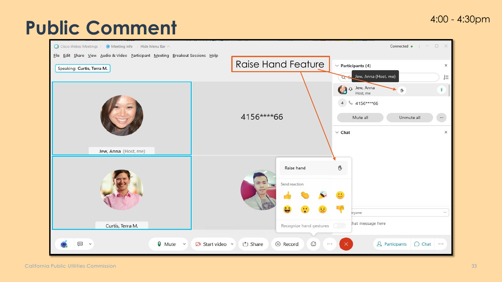#### 4:00 - 4:30pm

### **Public Comment**

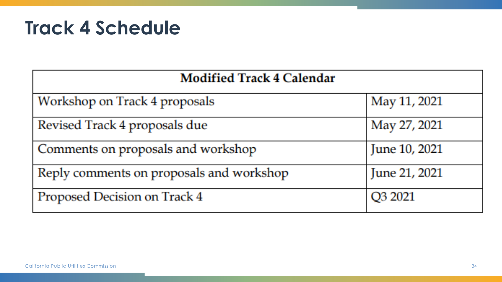#### **Track 4 Schedule**

| <b>Modified Track 4 Calendar</b>         |               |  |  |  |
|------------------------------------------|---------------|--|--|--|
| Workshop on Track 4 proposals            | May 11, 2021  |  |  |  |
| Revised Track 4 proposals due            | May 27, 2021  |  |  |  |
| Comments on proposals and workshop       | June 10, 2021 |  |  |  |
| Reply comments on proposals and workshop | June 21, 2021 |  |  |  |
| Proposed Decision on Track 4             | Q3 2021       |  |  |  |